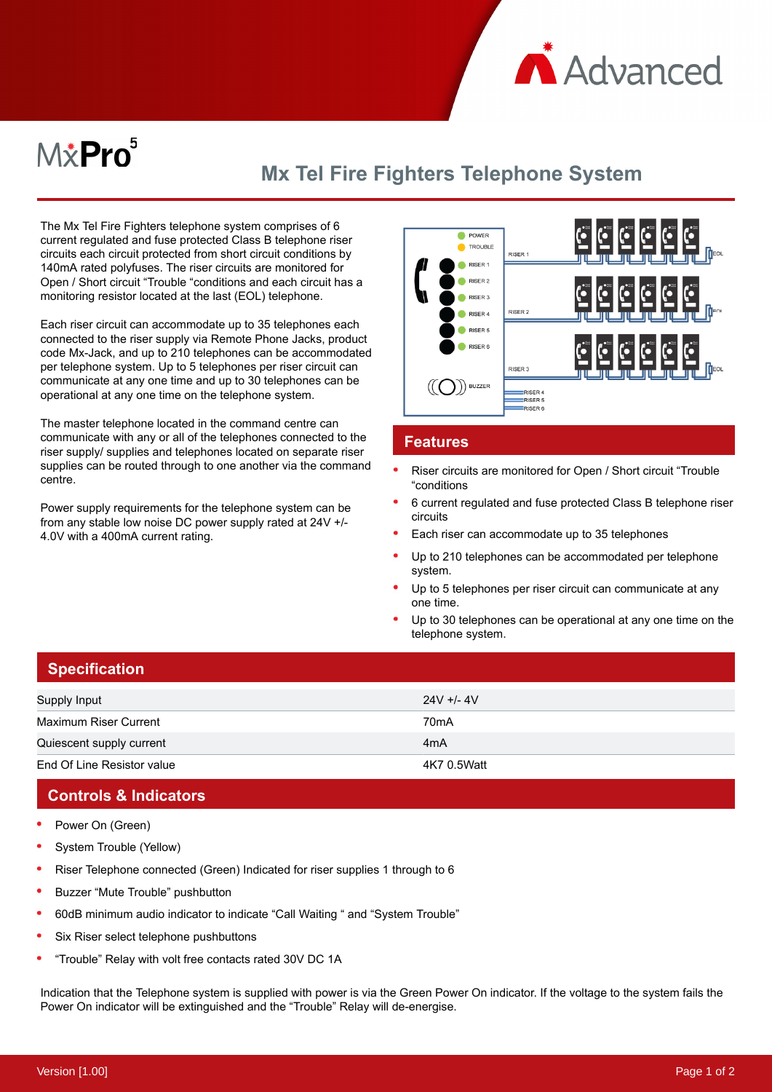

# $M\ddot{x}$ Pro $^5$

# **Mx Tel Fire Fighters Telephone System**

The Mx Tel Fire Fighters telephone system comprises of 6 current regulated and fuse protected Class B telephone riser circuits each circuit protected from short circuit conditions by 140mA rated polyfuses. The riser circuits are monitored for Open / Short circuit "Trouble "conditions and each circuit has a monitoring resistor located at the last (EOL) telephone.

Each riser circuit can accommodate up to 35 telephones each connected to the riser supply via Remote Phone Jacks, product code Mx-Jack, and up to 210 telephones can be accommodated per telephone system. Up to 5 telephones per riser circuit can communicate at any one time and up to 30 telephones can be operational at any one time on the telephone system.

The master telephone located in the command centre can communicate with any or all of the telephones connected to the riser supply/ supplies and telephones located on separate riser supplies can be routed through to one another via the command centre.

Power supply requirements for the telephone system can be from any stable low noise DC power supply rated at 24V +/- 4.0V with a 400mA current rating.



#### **Features**

- Riser circuits are monitored for Open / Short circuit "Trouble "conditions
- 6 current regulated and fuse protected Class B telephone riser circuits
- Each riser can accommodate up to 35 telephones
- Up to 210 telephones can be accommodated per telephone system.
- Up to 5 telephones per riser circuit can communicate at any one time.
- Up to 30 telephones can be operational at any one time on the telephone system.

| ∣ Specification <sup>∣</sup> |                   |
|------------------------------|-------------------|
| Supply Input                 | $24V + 4V$        |
| <b>Maximum Riser Current</b> | 70 <sub>m</sub> A |
| Quiescent supply current     | 4 <sub>m</sub> A  |
| End Of Line Resistor value   | 4K7 0.5Watt       |

# **Controls & Indicators**

- Power On (Green)
- System Trouble (Yellow)
- Riser Telephone connected (Green) Indicated for riser supplies 1 through to 6
- $\bullet$ Buzzer "Mute Trouble" pushbutton
- 60dB minimum audio indicator to indicate "Call Waiting " and "System Trouble"
- Six Riser select telephone pushbuttons
- "Trouble" Relay with volt free contacts rated 30V DC 1A

Indication that the Telephone system is supplied with power is via the Green Power On indicator. If the voltage to the system fails the Power On indicator will be extinguished and the "Trouble" Relay will de-energise.